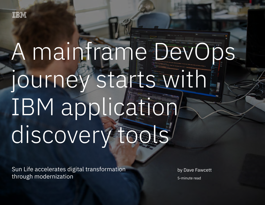# A mainframe DevOps journey starts with IBM application discovery tools

Sun Life accelerates digital transformation through modernization 1

Sun Life accelerates digital transformation through modernization

by Dave Fawcett 5-minute read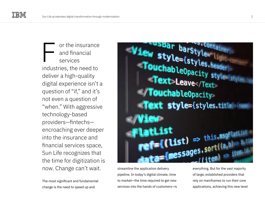or the insurance and financial services industries, the need to deliver a high-quality digital experience isn't a question of "if," and it's not even a question of "when." With aggressive technology-based providers—fintechs encroaching ever deeper into the insurance and financial services space, Sun Life recognizes that the time for digitization is now. Change can't wait. F

The most significant and fundamental change is the need to speed up and



streamline the application delivery pipeline. In today's digital climate, time to market—the time required to get new services into the hands of customers—is everything. But for the vast majority of large, established providers that rely on mainframes to run their core applications, achieving this new level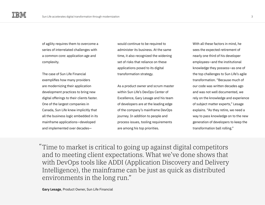of agility requires them to overcome a series of interrelated challenges with a common core: application age and complexity.

The case of Sun Life Financial exemplifies how many providers are modernizing their application development practices to bring new digital offerings to their clients faster. One of the largest companies in Canada, Sun Life knew implicitly that all the business logic embedded in its mainframe applications—developed and implemented over decades—

would continue to be required to administer its business. At the same time, it also recognized the widening set of risks that reliance on these applications posed to its digital transformation strategy.

As a product owner and scrum master within Sun Life's DevOps Center of Excellence, Gary Lesage and his team of developers are at the leading edge of the company's mainframe DevOps journey. In addition to people and process issues, tooling requirements are among his top priorities.

With all these factors in mind, he sees the expected retirement of nearly one third of his developer employees—and the institutional knowledge they possess—as one of the top challenges to Sun Life's agile transformation. "Because much of our code was written decades ago and was not well documented, we rely on the knowledge and experience of subject matter experts," Lesage explains. "As they retire, we need a way to pass knowledge on to the new generation of developers to keep the transformation ball rolling."

Time to market is critical to going up against digital competitors "and to meeting client expectations. What we've done shows that with DevOps tools like ADDI (Application Discovery and Delivery Intelligence), the mainframe can be just as quick as distributed environments in the long run."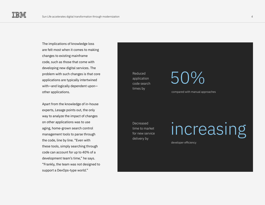The implications of knowledge loss are felt most when it comes to making changes to existing mainframe code, such as those that come with developing new digital services. The problem with such changes is that core applications are typically intertwined with—and logically dependent upon other applications.

Apart from the knowledge of in-house experts, Lesage points out, the only way to analyze the impact of changes on other applications was to use aging, home-grown search control management tools to parse through the code, line by line. "Even with these tools, simply searching through code can account for up to 40% of a development team's time," he says. "Frankly, the team was not designed to support a DevOps-type world."

Reduced application code search times by

50%

compared with manual approaches

Decreased time to market for new service delivery by

### increasing

developer efficiency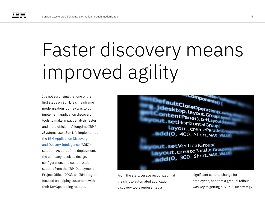## Faster discovery means improved agility

It's not surprising that one of the first steps on Sun Life's mainframe modernization journey was to put implement application discovery tools to make impact analysis faster and more efficient. A longtime IBM® zSystems user, Sun Life implemented the [IBM Application Discovery](https://www.ibm.com/products/app-discovery-and-delivery-intelligence)  [and Delivery Intelligence \(](https://www.ibm.com/products/app-discovery-and-delivery-intelligence)ADDI) solution. As part of the deployment, the company received design, configuration, and customization support from the IBM Deployment Project Office (DPO), an IBM program focused on helping customers with their DevOps tooling rollouts.



From the start, Lesage recognized that the shift to automated application discovery tools represented a

significant cultural change for employees, and that a gradual rollout was key to getting buy-in. "Our strategy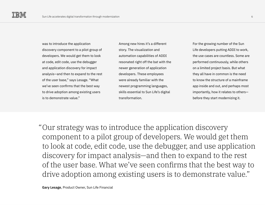was to introduce the application discovery component to a pilot group of developers. We would get them to look at code, edit code, use the debugger and application discovery for impact analysis—and then to expand to the rest of the user base," says Lesage. "What we've seen confirms that the best way to drive adoption among existing users is to demonstrate value."

Among new hires it's a different story. The visualization and automation capabilities of ADDI resonated right off the bat with the newer generation of application developers. These employees were already familiar with the newest programming languages, skills essential to Sun Life's digital transformation.

For the growing number of the Sun Life developers putting ADDI to work, the use cases are countless. Some are performed continuously, while others on a limited project basis. But what they all have in common is the need to know the structure of a mainframe app inside and out, and perhaps most importantly, how it relates to others before they start modernizing it.

Our strategy was to introduce the application discovery "component to a pilot group of developers. We would get them to look at code, edit code, use the debugger, and use application discovery for impact analysis—and then to expand to the rest of the user base. What we've seen confirms that the best way to drive adoption among existing users is to demonstrate value."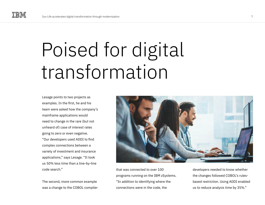### Poised for digital transformation

Lesage points to two projects as examples. In the first, he and his team were asked how the company's mainframe applications would need to change in the rare (but not unheard of) case of interest rates going to zero or even negative. "Our developers used ADDI to find complex connections between a variety of investment and insurance applications," says Lesage. "It took us 50% less time than a line-by-line code search."

The second, more common example was a change to the COBOL compiler



that was connected to over 100 programs running on the IBM zSystems. "In addition to identifying where the connections were in the code, the

developers needed to know whether the changes followed COBOL's rulesbased restriction. Using ADDI enabled us to reduce analysis time by 35%."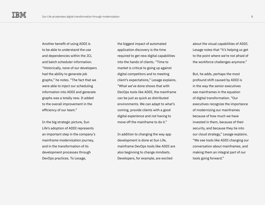Another benefit of using ADDI is to be able to understand the use and dependencies within the JCL and batch scheduler information. "Historically, none of our developers had the ability to generate job graphs," he notes. "The fact that we were able to inject our scheduling information into ADDI and generate graphs was a totally new. It added to the overall improvement in the efficiency of our team."

In the big strategic picture, Sun Life's adoption of ADDI represents an important step in the company's mainframe modernization journey, and in the transformation of its development processes through DevOps practices. To Lesage,

the biggest impact of automated application discovery is the time required to get new digital capabilities into the hands of clients. "Time to market is critical to going up against digital competitors and to meeting client's expectations," Lesage explains. "What we've done shows that with DevOps tools like ADDI, the mainframe can be just as quick as distributed environments. We can adapt to what's coming, provide clients with a good digital experience and not having to move off the mainframe to do it."

In addition to changing the way app development is done at Sun Life, mainframe DevOps tools like ADDI are also beginning to change mindsets. Developers, for example, are excited

about the visual capabilities of ADDI. Lesage notes that "it's helping us get to the point where we're not afraid of the workforce challenges anymore."

But, he adds, perhaps the most profound shift caused by ADDI is in the way the senior executives see mainframes in the equation of digital transformation. "Our executives recognize the importance of modernizing our mainframes because of how much we have invested in them, because of their security, and because they tie into our cloud strategy," Lesage explains. "We see tools like ADDI changing our conversation about mainframes, and making them an integral part of our tools going forward."